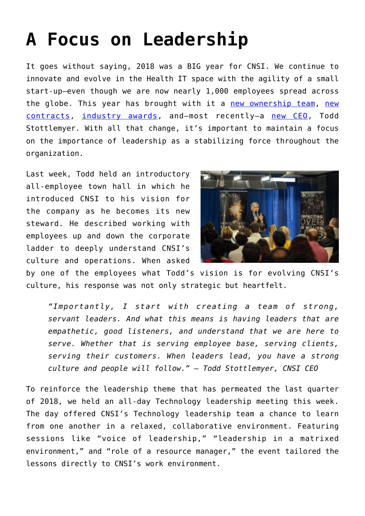## **[A Focus on Leadership](https://www.cns-inc.com/insights/thought-leadership/focus_on_leadership/)**

It goes without saying, 2018 was a BIG year for CNSI. We continue to innovate and evolve in the Health IT space with the agility of a small start-up—even though we are now nearly 1,000 employees spread across the globe. This year has brought with it a [new ownership team](https://www.cns-inc.com/news-and-press/press/am-capital-acquires-majority-interest-in-cnsi/), [new](https://www.cns-inc.com/news-and-press/press/cnsi-to-provide-cutting-edge-medicaid-enrollment-system-for-arizona/) [contracts,](https://www.cns-inc.com/news-and-press/press/cnsi-to-provide-cutting-edge-medicaid-enrollment-system-for-arizona/) [industry awards](https://www.cns-inc.com/news-and-press/press/cnsi-wins-maryland-tech-council-award-for-innovation-expertise/), and—most recently—a [new CEO](https://www.bizjournals.com/washington/news/2018/12/03/exclusive-heres-where-todd-stottlemyer-landed.html?ana=TRUEANTHEMTWT_WA&utm_campaign=trueAnthem:+Trending+Content&utm_content=5c05b7c93ed3f00001c04f52&utm_medium=trueAnthem&utm_source=twitter), Todd Stottlemyer. With all that change, it's important to maintain a focus on the importance of leadership as a stabilizing force throughout the organization.

Last week, Todd held an introductory all-employee town hall in which he introduced CNSI to his vision for the company as he becomes its new steward. He described working with employees up and down the corporate ladder to deeply understand CNSI's culture and operations. When asked



by one of the employees what Todd's vision is for evolving CNSI's culture, his response was not only strategic but heartfelt.

*"Importantly, I start with creating a team of strong, servant leaders. And what this means is having leaders that are empathetic, good listeners, and understand that we are here to serve. Whether that is serving employee base, serving clients, serving their customers. When leaders lead, you have a strong culture and people will follow." – Todd Stottlemyer, CNSI CEO*

To reinforce the leadership theme that has permeated the last quarter of 2018, we held an all-day Technology leadership meeting this week. The day offered CNSI's Technology leadership team a chance to learn from one another in a relaxed, collaborative environment. Featuring sessions like "voice of leadership," "leadership in a matrixed environment," and "role of a resource manager," the event tailored the lessons directly to CNSI's work environment.